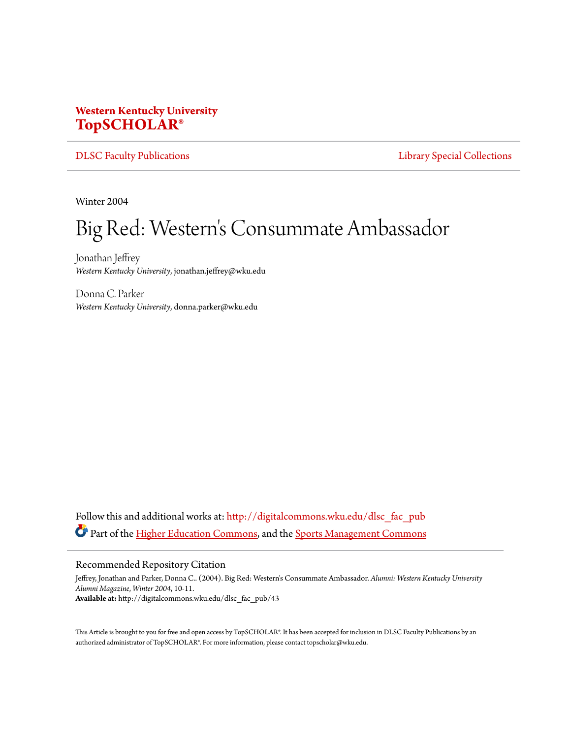## **Western Kentucky University [TopSCHOLAR®](http://digitalcommons.wku.edu?utm_source=digitalcommons.wku.edu%2Fdlsc_fac_pub%2F43&utm_medium=PDF&utm_campaign=PDFCoverPages)**

[DLSC Faculty Publications](http://digitalcommons.wku.edu/dlsc_fac_pub?utm_source=digitalcommons.wku.edu%2Fdlsc_fac_pub%2F43&utm_medium=PDF&utm_campaign=PDFCoverPages) **[Library Special Collections](http://digitalcommons.wku.edu/dlsc?utm_source=digitalcommons.wku.edu%2Fdlsc_fac_pub%2F43&utm_medium=PDF&utm_campaign=PDFCoverPages)** 

Winter 2004

## Big Red: Western 's Consummate Ambassador

Jonathan Jeffrey *Western Kentucky University*, jonathan.jeffrey@wku.edu

Donna C. Parker *Western Kentucky University*, donna.parker@wku.edu

Follow this and additional works at: [http://digitalcommons.wku.edu/dlsc\\_fac\\_pub](http://digitalcommons.wku.edu/dlsc_fac_pub?utm_source=digitalcommons.wku.edu%2Fdlsc_fac_pub%2F43&utm_medium=PDF&utm_campaign=PDFCoverPages) Part of the [Higher Education Commons](http://network.bepress.com/hgg/discipline/1245?utm_source=digitalcommons.wku.edu%2Fdlsc_fac_pub%2F43&utm_medium=PDF&utm_campaign=PDFCoverPages), and the [Sports Management Commons](http://network.bepress.com/hgg/discipline/1193?utm_source=digitalcommons.wku.edu%2Fdlsc_fac_pub%2F43&utm_medium=PDF&utm_campaign=PDFCoverPages)

## Recommended Repository Citation

Jeffrey, Jonathan and Parker, Donna C.. (2004). Big Red: Western's Consummate Ambassador. *Alumni: Western Kentucky University Alumni Magazine*, *Winter 2004*, 10-11. **Available at:** http://digitalcommons.wku.edu/dlsc\_fac\_pub/43

This Article is brought to you for free and open access by TopSCHOLAR®. It has been accepted for inclusion in DLSC Faculty Publications by an authorized administrator of TopSCHOLAR®. For more information, please contact topscholar@wku.edu.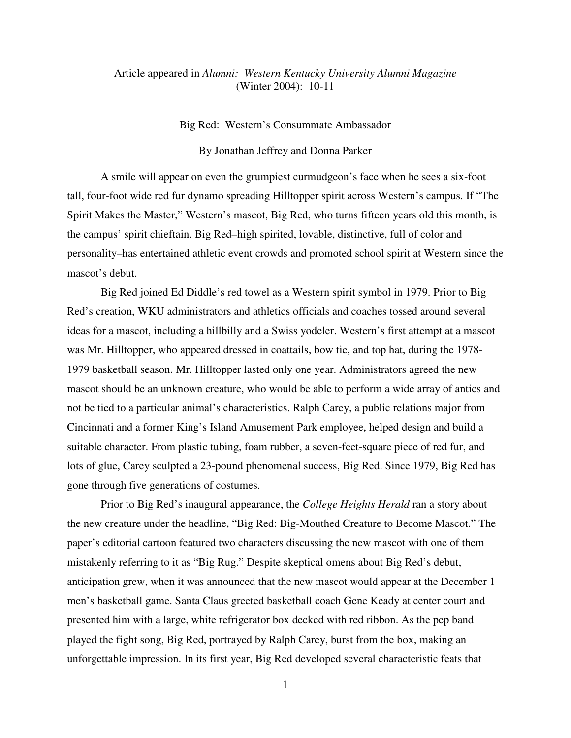## Article appeared in *Alumni: Western Kentucky University Alumni Magazine* (Winter 2004): 10-11

Big Red: Western's Consummate Ambassador

By Jonathan Jeffrey and Donna Parker

A smile will appear on even the grumpiest curmudgeon's face when he sees a six-foot tall, four-foot wide red fur dynamo spreading Hilltopper spirit across Western's campus. If "The Spirit Makes the Master," Western's mascot, Big Red, who turns fifteen years old this month, is the campus' spirit chieftain. Big Red–high spirited, lovable, distinctive, full of color and personality–has entertained athletic event crowds and promoted school spirit at Western since the mascot's debut.

 Big Red joined Ed Diddle's red towel as a Western spirit symbol in 1979. Prior to Big Red's creation, WKU administrators and athletics officials and coaches tossed around several ideas for a mascot, including a hillbilly and a Swiss yodeler. Western's first attempt at a mascot was Mr. Hilltopper, who appeared dressed in coattails, bow tie, and top hat, during the 1978- 1979 basketball season. Mr. Hilltopper lasted only one year. Administrators agreed the new mascot should be an unknown creature, who would be able to perform a wide array of antics and not be tied to a particular animal's characteristics. Ralph Carey, a public relations major from Cincinnati and a former King's Island Amusement Park employee, helped design and build a suitable character. From plastic tubing, foam rubber, a seven-feet-square piece of red fur, and lots of glue, Carey sculpted a 23-pound phenomenal success, Big Red. Since 1979, Big Red has gone through five generations of costumes.

 Prior to Big Red's inaugural appearance, the *College Heights Herald* ran a story about the new creature under the headline, "Big Red: Big-Mouthed Creature to Become Mascot." The paper's editorial cartoon featured two characters discussing the new mascot with one of them mistakenly referring to it as "Big Rug." Despite skeptical omens about Big Red's debut, anticipation grew, when it was announced that the new mascot would appear at the December 1 men's basketball game. Santa Claus greeted basketball coach Gene Keady at center court and presented him with a large, white refrigerator box decked with red ribbon. As the pep band played the fight song, Big Red, portrayed by Ralph Carey, burst from the box, making an unforgettable impression. In its first year, Big Red developed several characteristic feats that

<sup>1</sup>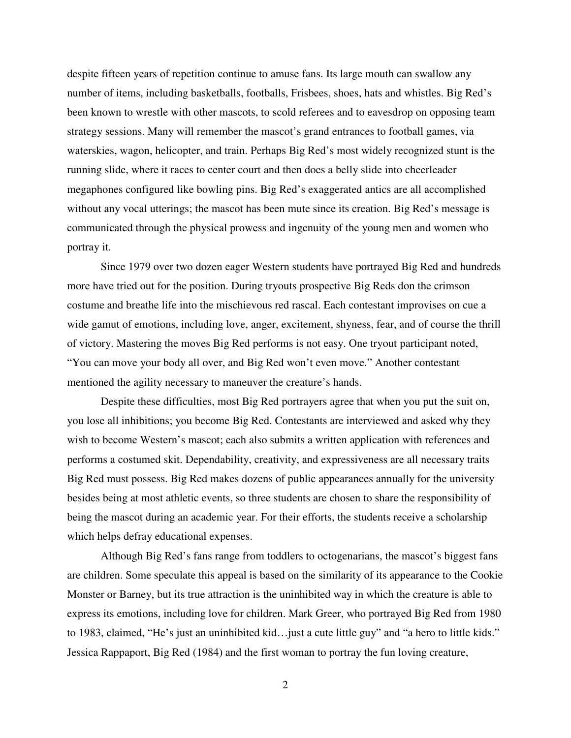despite fifteen years of repetition continue to amuse fans. Its large mouth can swallow any number of items, including basketballs, footballs, Frisbees, shoes, hats and whistles. Big Red's been known to wrestle with other mascots, to scold referees and to eavesdrop on opposing team strategy sessions. Many will remember the mascot's grand entrances to football games, via waterskies, wagon, helicopter, and train. Perhaps Big Red's most widely recognized stunt is the running slide, where it races to center court and then does a belly slide into cheerleader megaphones configured like bowling pins. Big Red's exaggerated antics are all accomplished without any vocal utterings; the mascot has been mute since its creation. Big Red's message is communicated through the physical prowess and ingenuity of the young men and women who portray it.

 Since 1979 over two dozen eager Western students have portrayed Big Red and hundreds more have tried out for the position. During tryouts prospective Big Reds don the crimson costume and breathe life into the mischievous red rascal. Each contestant improvises on cue a wide gamut of emotions, including love, anger, excitement, shyness, fear, and of course the thrill of victory. Mastering the moves Big Red performs is not easy. One tryout participant noted, "You can move your body all over, and Big Red won't even move." Another contestant mentioned the agility necessary to maneuver the creature's hands.

 Despite these difficulties, most Big Red portrayers agree that when you put the suit on, you lose all inhibitions; you become Big Red. Contestants are interviewed and asked why they wish to become Western's mascot; each also submits a written application with references and performs a costumed skit. Dependability, creativity, and expressiveness are all necessary traits Big Red must possess. Big Red makes dozens of public appearances annually for the university besides being at most athletic events, so three students are chosen to share the responsibility of being the mascot during an academic year. For their efforts, the students receive a scholarship which helps defray educational expenses.

 Although Big Red's fans range from toddlers to octogenarians, the mascot's biggest fans are children. Some speculate this appeal is based on the similarity of its appearance to the Cookie Monster or Barney, but its true attraction is the uninhibited way in which the creature is able to express its emotions, including love for children. Mark Greer, who portrayed Big Red from 1980 to 1983, claimed, "He's just an uninhibited kid…just a cute little guy" and "a hero to little kids." Jessica Rappaport, Big Red (1984) and the first woman to portray the fun loving creature,

2